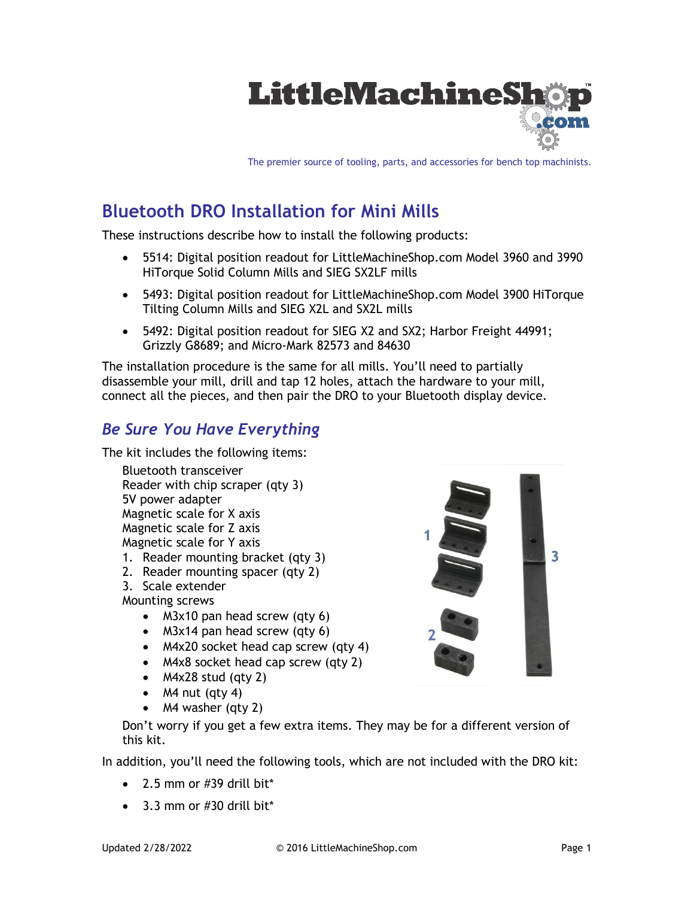

The premier source of tooling, parts, and accessories for bench top machinists.

# **Bluetooth DRO Installation for Mini Mills**

These instructions describe how to install the following products:

- 5514: Digital position readout for LittleMachineShop.com Model 3960 and 3990 HiTorque Solid Column Mills and SIEG SX2LF mills
- 5493: Digital position readout for LittleMachineShop.com Model 3900 HiTorque Tilting Column Mills and SIEG X2L and SX2L mills
- 5492: Digital position readout for SIEG X2 and SX2; Harbor Freight 44991; Grizzly G8689; and Micro-Mark 82573 and 84630

The installation procedure is the same for all mills. You'll need to partially disassemble your mill, drill and tap 12 holes, attach the hardware to your mill, connect all the pieces, and then pair the DRO to your Bluetooth display device.

#### *Be Sure You Have Everything*

The kit includes the following items:

Bluetooth transceiver Reader with chip scraper (qty 3) 5V power adapter Magnetic scale for X axis Magnetic scale for Z axis Magnetic scale for Y axis

- 1. Reader mounting bracket (qty 3)
- 2. Reader mounting spacer (qty 2)
- 3. Scale extender

Mounting screws

- M3x10 pan head screw (qty 6)
- M3x14 pan head screw (qty 6)
- M4x20 socket head cap screw (qty 4)
- M4x8 socket head cap screw (qty 2)
- M4x28 stud (qty 2)
- $M4$  nut (qty 4)
- M4 washer (qty 2)

Don't worry if you get a few extra items. They may be for a different version of this kit.

In addition, you'll need the following tools, which are not included with the DRO kit:

- $\bullet$  2.5 mm or #39 drill bit\*
- 3.3 mm or #30 drill bit\*

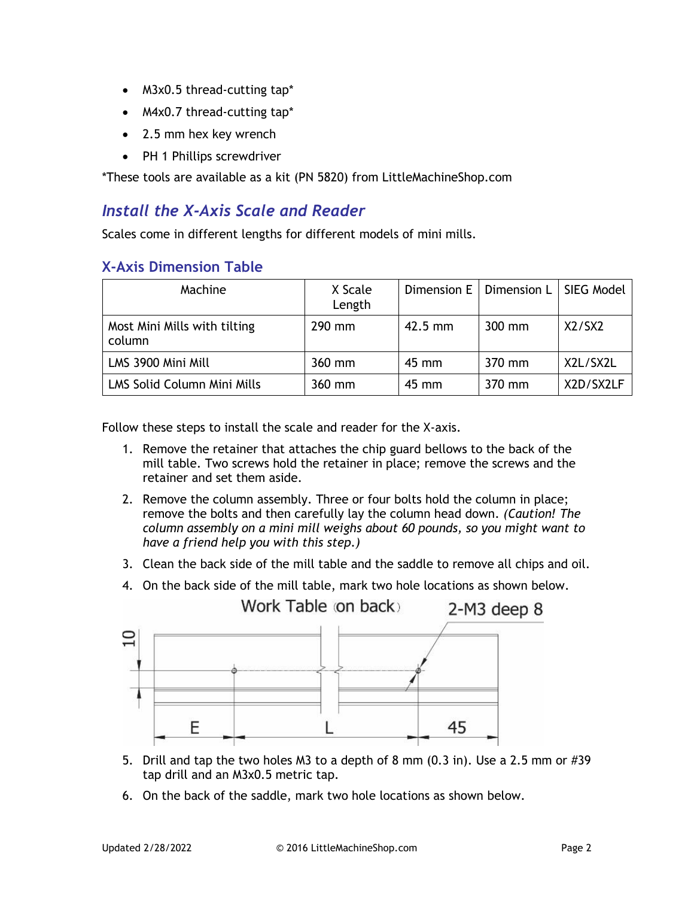- M3x0.5 thread-cutting tap\*
- M4x0.7 thread-cutting tap\*
- 2.5 mm hex key wrench
- PH 1 Phillips screwdriver

\*These tools are available as a kit (PN 5820) from LittleMachineShop.com

#### *Install the X-Axis Scale and Reader*

Scales come in different lengths for different models of mini mills.

#### **X-Axis Dimension Table**

| Machine                                | X Scale<br>Length |           | Dimension E   Dimension L | SIEG Model |
|----------------------------------------|-------------------|-----------|---------------------------|------------|
| Most Mini Mills with tilting<br>column | 290 mm            | $42.5$ mm | 300 mm                    | X2/SX2     |
| LMS 3900 Mini Mill                     | 360 mm            | 45 mm     | 370 mm                    | X2L/SX2L   |
| LMS Solid Column Mini Mills            | 360 mm            | 45 mm     | 370 mm                    | X2D/SX2LF  |

Follow these steps to install the scale and reader for the X-axis.

- 1. Remove the retainer that attaches the chip guard bellows to the back of the mill table. Two screws hold the retainer in place; remove the screws and the retainer and set them aside.
- 2. Remove the column assembly. Three or four bolts hold the column in place; remove the bolts and then carefully lay the column head down. *(Caution! The column assembly on a mini mill weighs about 60 pounds, so you might want to have a friend help you with this step.)*
- 3. Clean the back side of the mill table and the saddle to remove all chips and oil.
- 4. On the back side of the mill table, mark two hole locations as shown below.



- 5. Drill and tap the two holes M3 to a depth of 8 mm (0.3 in). Use a 2.5 mm or #39 tap drill and an M3x0.5 metric tap.
- 6. On the back of the saddle, mark two hole locations as shown below.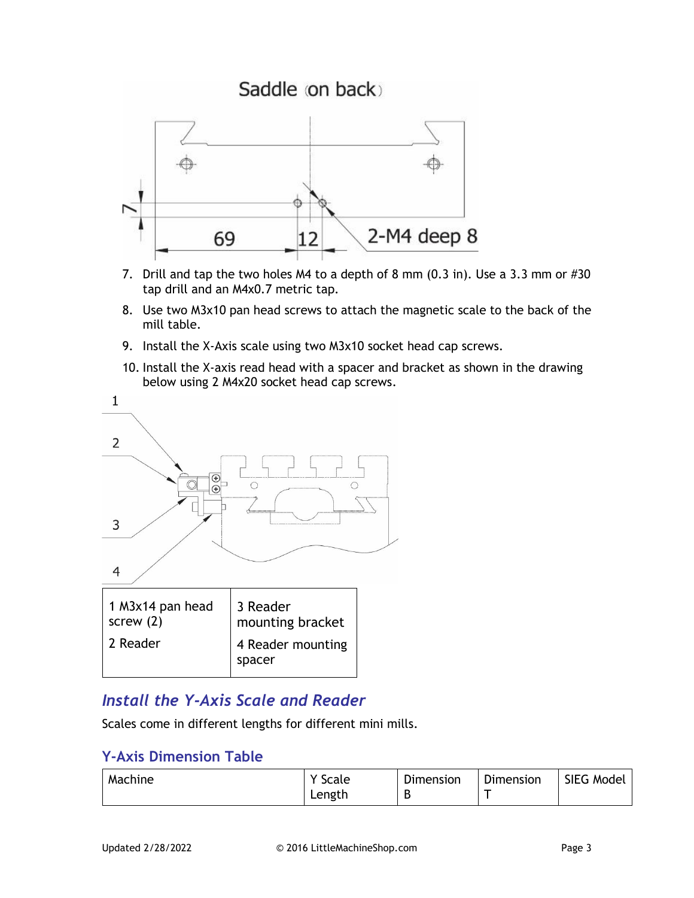

- 7. Drill and tap the two holes M4 to a depth of 8 mm (0.3 in). Use a 3.3 mm or #30 tap drill and an M4x0.7 metric tap.
- 8. Use two M3x10 pan head screws to attach the magnetic scale to the back of the mill table.
- 9. Install the X-Axis scale using two M3x10 socket head cap screws.
- 10. Install the X-axis read head with a spacer and bracket as shown in the drawing below using 2 M4x20 socket head cap screws.



# *Install the Y-Axis Scale and Reader*

Scales come in different lengths for different mini mills.

#### **Y-Axis Dimension Table**

| Machine | Y Scale | Dimension | Dimension | SIEG Model |
|---------|---------|-----------|-----------|------------|
|         | Length  |           |           |            |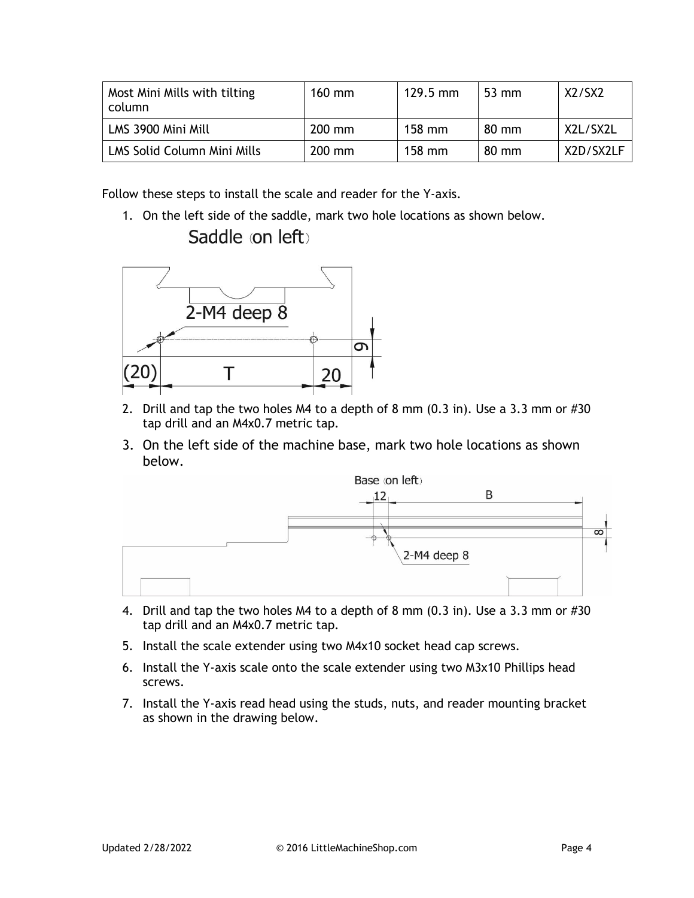| Most Mini Mills with tilting<br>column | $160$ mm | $129.5 \text{ mm}$ | $53 \text{ mm}$ | X2/SX2    |
|----------------------------------------|----------|--------------------|-----------------|-----------|
| LMS 3900 Mini Mill                     | $200$ mm | $158$ mm           | $80 \text{ mm}$ | X2L/SX2L  |
| <b>LMS Solid Column Mini Mills</b>     | $200$ mm | $158$ mm           | $80 \text{ mm}$ | X2D/SX2LF |

Follow these steps to install the scale and reader for the Y-axis.

1. On the left side of the saddle, mark two hole locations as shown below. Saddle (on left)



- 2. Drill and tap the two holes M4 to a depth of 8 mm (0.3 in). Use a 3.3 mm or #30 tap drill and an M4x0.7 metric tap.
- 3. On the left side of the machine base, mark two hole locations as shown below.



- 4. Drill and tap the two holes M4 to a depth of 8 mm (0.3 in). Use a 3.3 mm or #30 tap drill and an M4x0.7 metric tap.
- 5. Install the scale extender using two M4x10 socket head cap screws.
- 6. Install the Y-axis scale onto the scale extender using two M3x10 Phillips head screws.
- 7. Install the Y-axis read head using the studs, nuts, and reader mounting bracket as shown in the drawing below.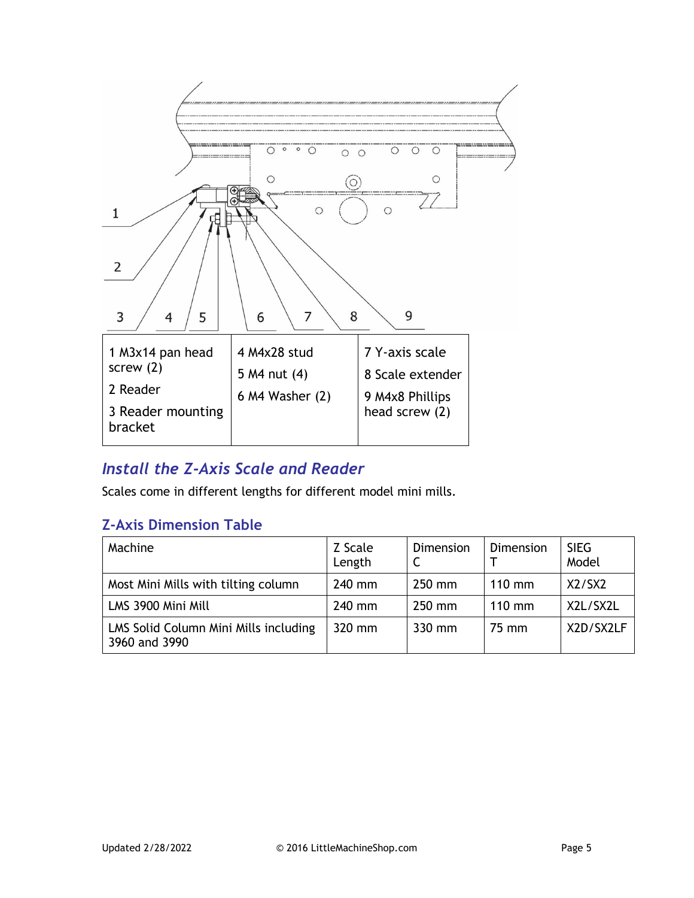

### *Install the Z-Axis Scale and Reader*

Scales come in different lengths for different model mini mills.

#### **Z-Axis Dimension Table**

| Machine                                                | Z Scale<br>Length | Dimension | Dimension | <b>SIEG</b><br>Model |
|--------------------------------------------------------|-------------------|-----------|-----------|----------------------|
| Most Mini Mills with tilting column                    | 240 mm            | 250 mm    | $110$ mm  | X2/SX2               |
| LMS 3900 Mini Mill                                     | 240 mm            | 250 mm    | $110$ mm  | X2L/SX2L             |
| LMS Solid Column Mini Mills including<br>3960 and 3990 | 320 mm            | 330 mm    | 75 mm     | X2D/SX2LF            |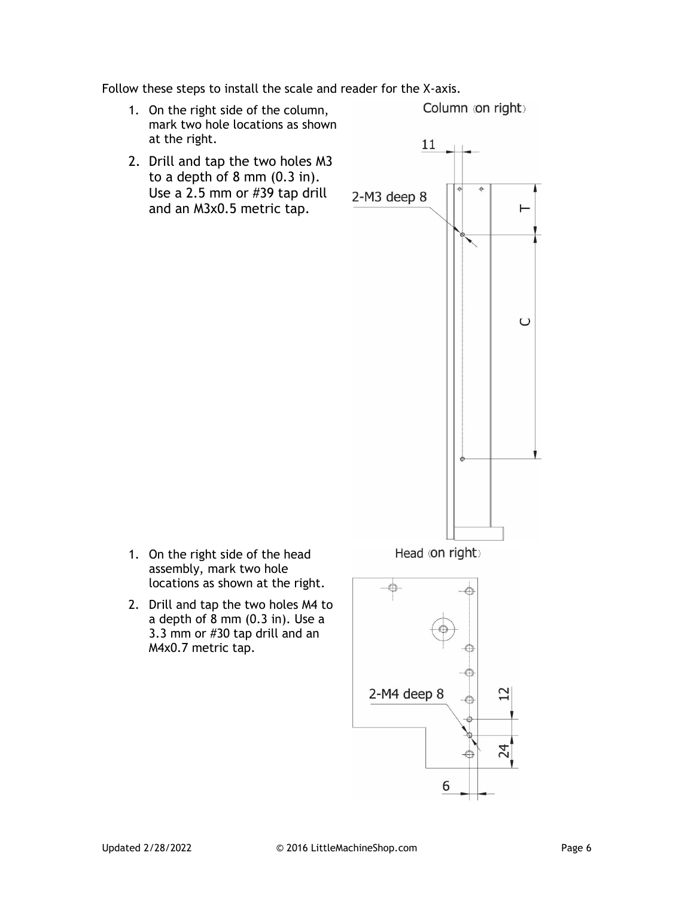Follow these steps to install the scale and reader for the X-axis.

1. On the right side of the column, mark two hole locations as shown at the right.

Column (on right)

2. Drill and tap the two holes M3 to a depth of 8 mm (0.3 in). Use a 2.5 mm or #39 tap drill and an M3x0.5 metric tap.



- 1. On the right side of the head assembly, mark two hole locations as shown at the right.
- 2. Drill and tap the two holes M4 to a depth of 8 mm (0.3 in). Use a 3.3 mm or #30 tap drill and an M4x0.7 metric tap.

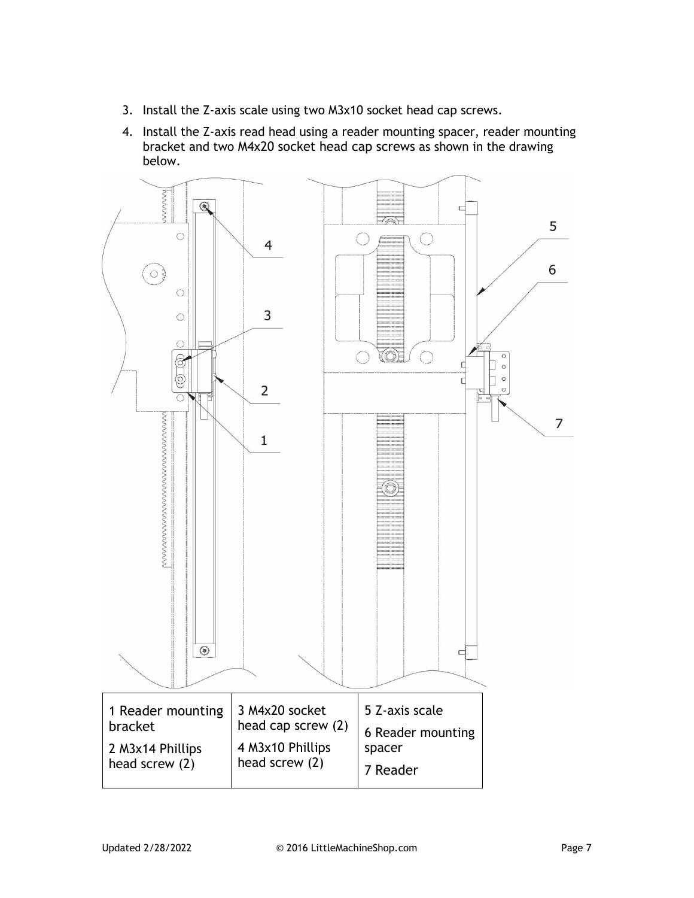- 3. Install the Z-axis scale using two M3x10 socket head cap screws.
- 4. Install the Z-axis read head using a reader mounting spacer, reader mounting bracket and two M4x20 socket head cap screws as shown in the drawing below.

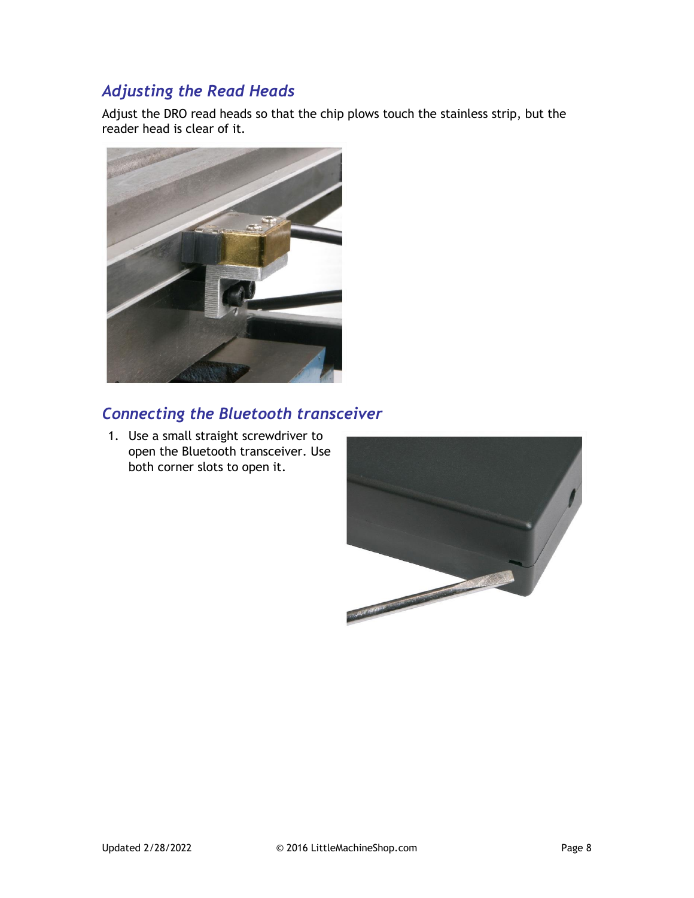### *Adjusting the Read Heads*

Adjust the DRO read heads so that the chip plows touch the stainless strip, but the reader head is clear of it.



# *Connecting the Bluetooth transceiver*

1. Use a small straight screwdriver to open the Bluetooth transceiver. Use both corner slots to open it.

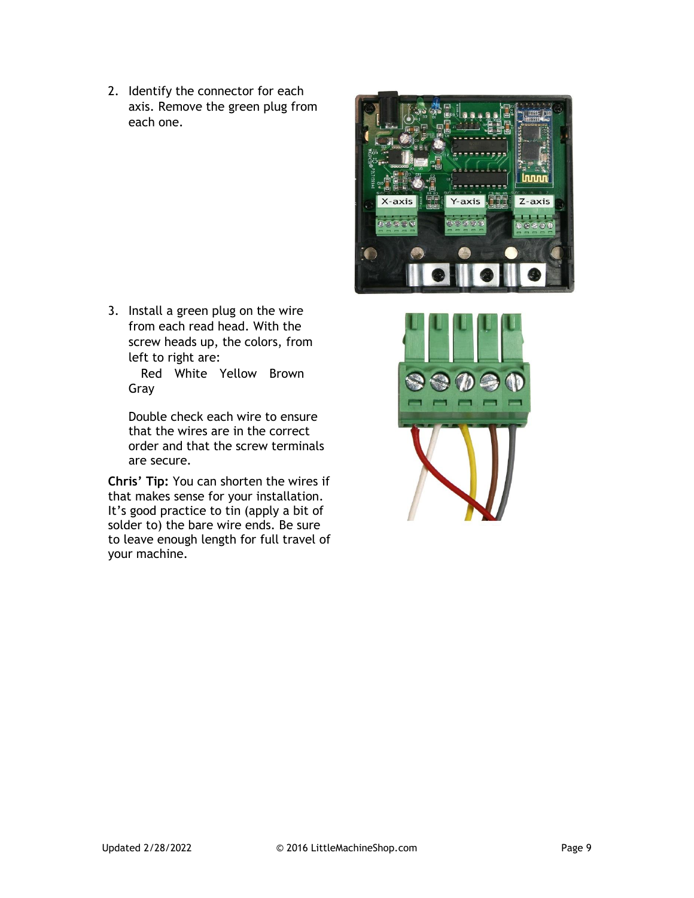2. Identify the connector for each axis. Remove the green plug from each one.

3. Install a green plug on the wire from each read head. With the screw heads up, the colors, from left to right are:

Red White Yellow Brown Gray

Double check each wire to ensure that the wires are in the correct order and that the screw terminals are secure.

**Chris' Tip:** You can shorten the wires if that makes sense for your installation. It's good practice to tin (apply a bit of solder to) the bare wire ends. Be sure to leave enough length for full travel of your machine.